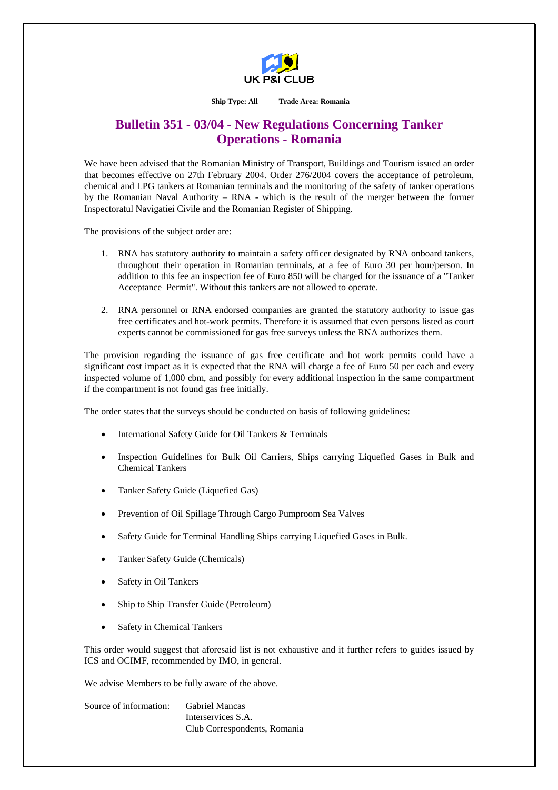

**Ship Type: All Trade Area: Romania** 

## **Bulletin 351 - 03/04 - New Regulations Concerning Tanker Operations - Romania**

We have been advised that the Romanian Ministry of Transport, Buildings and Tourism issued an order that becomes effective on 27th February 2004. Order 276/2004 covers the acceptance of petroleum, chemical and LPG tankers at Romanian terminals and the monitoring of the safety of tanker operations by the Romanian Naval Authority – RNA - which is the result of the merger between the former Inspectoratul Navigatiei Civile and the Romanian Register of Shipping.

The provisions of the subject order are:

- 1. RNA has statutory authority to maintain a safety officer designated by RNA onboard tankers, throughout their operation in Romanian terminals, at a fee of Euro 30 per hour/person. In addition to this fee an inspection fee of Euro 850 will be charged for the issuance of a "Tanker Acceptance Permit". Without this tankers are not allowed to operate.
- 2. RNA personnel or RNA endorsed companies are granted the statutory authority to issue gas free certificates and hot-work permits. Therefore it is assumed that even persons listed as court experts cannot be commissioned for gas free surveys unless the RNA authorizes them.

The provision regarding the issuance of gas free certificate and hot work permits could have a significant cost impact as it is expected that the RNA will charge a fee of Euro 50 per each and every inspected volume of 1,000 cbm, and possibly for every additional inspection in the same compartment if the compartment is not found gas free initially.

The order states that the surveys should be conducted on basis of following guidelines:

- International Safety Guide for Oil Tankers & Terminals
- Inspection Guidelines for Bulk Oil Carriers, Ships carrying Liquefied Gases in Bulk and Chemical Tankers
- Tanker Safety Guide (Liquefied Gas)
- Prevention of Oil Spillage Through Cargo Pumproom Sea Valves
- Safety Guide for Terminal Handling Ships carrying Liquefied Gases in Bulk.
- Tanker Safety Guide (Chemicals)
- Safety in Oil Tankers
- Ship to Ship Transfer Guide (Petroleum)
- Safety in Chemical Tankers

This order would suggest that aforesaid list is not exhaustive and it further refers to guides issued by ICS and OCIMF, recommended by IMO, in general.

We advise Members to be fully aware of the above.

Source of information: Gabriel Mancas Interservices S.A. Club Correspondents, Romania